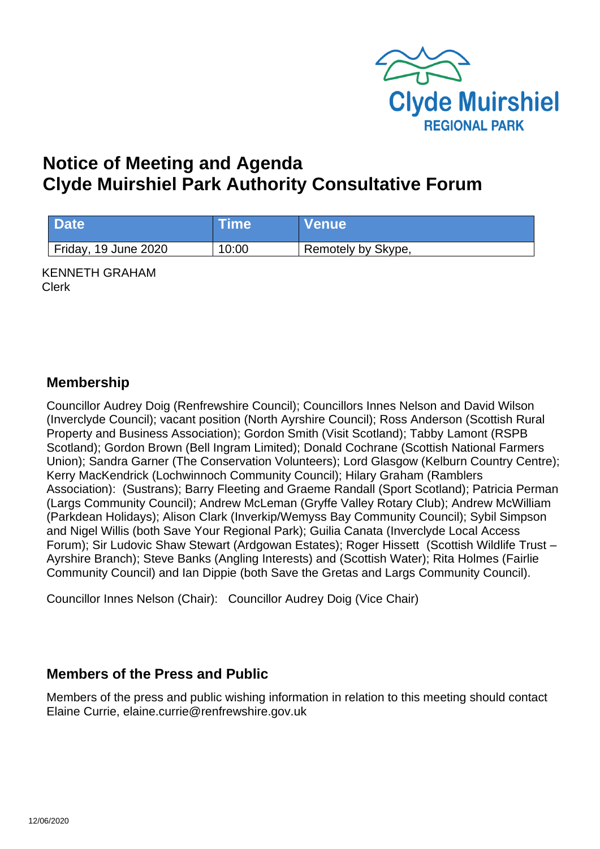

# **Notice of Meeting and Agenda Clyde Muirshiel Park Authority Consultative Forum**

| <b>Date</b>          | <b>Time</b> | <b>Nenue</b>         |
|----------------------|-------------|----------------------|
| Friday, 19 June 2020 | 10:00       | ' Remotely by Skype, |

KENNETH GRAHAM Clerk

## **Membership**

Councillor Audrey Doig (Renfrewshire Council); Councillors Innes Nelson and David Wilson (Inverclyde Council); vacant position (North Ayrshire Council); Ross Anderson (Scottish Rural Property and Business Association); Gordon Smith (Visit Scotland); Tabby Lamont (RSPB Scotland); Gordon Brown (Bell Ingram Limited); Donald Cochrane (Scottish National Farmers Union); Sandra Garner (The Conservation Volunteers); Lord Glasgow (Kelburn Country Centre); Kerry MacKendrick (Lochwinnoch Community Council); Hilary Graham (Ramblers Association): (Sustrans); Barry Fleeting and Graeme Randall (Sport Scotland); Patricia Perman (Largs Community Council); Andrew McLeman (Gryffe Valley Rotary Club); Andrew McWilliam (Parkdean Holidays); Alison Clark (Inverkip/Wemyss Bay Community Council); Sybil Simpson and Nigel Willis (both Save Your Regional Park); Guilia Canata (Inverclyde Local Access Forum); Sir Ludovic Shaw Stewart (Ardgowan Estates); Roger Hissett (Scottish Wildlife Trust – Ayrshire Branch); Steve Banks (Angling Interests) and (Scottish Water); Rita Holmes (Fairlie Community Council) and Ian Dippie (both Save the Gretas and Largs Community Council).

Councillor Innes Nelson (Chair): Councillor Audrey Doig (Vice Chair)

## **Members of the Press and Public**

Members of the press and public wishing information in relation to this meeting should contact Elaine Currie, elaine.currie@renfrewshire.gov.uk